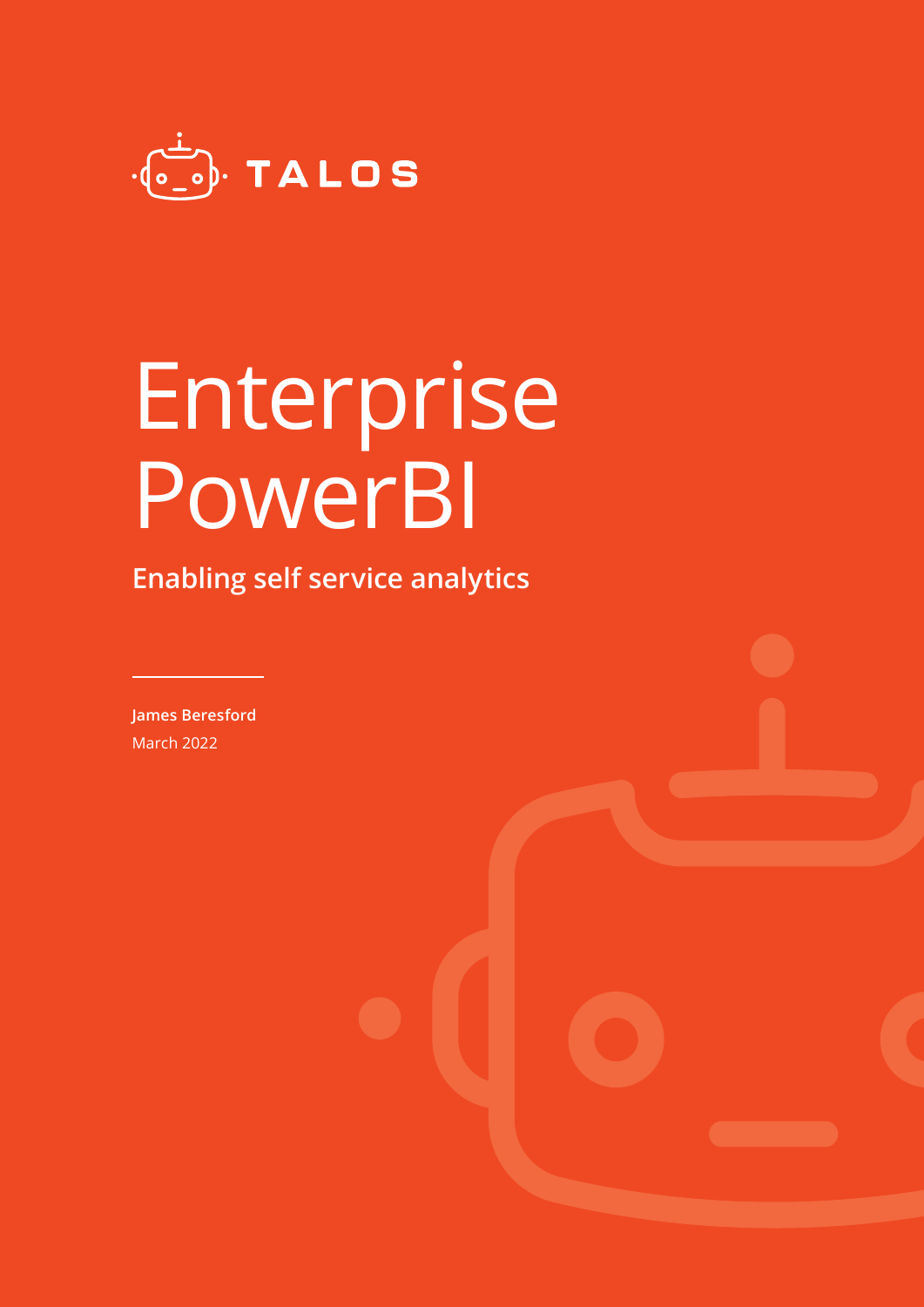

# Enterprise PowerBI

**Enabling self service analytics**

**James Beresford** March 2022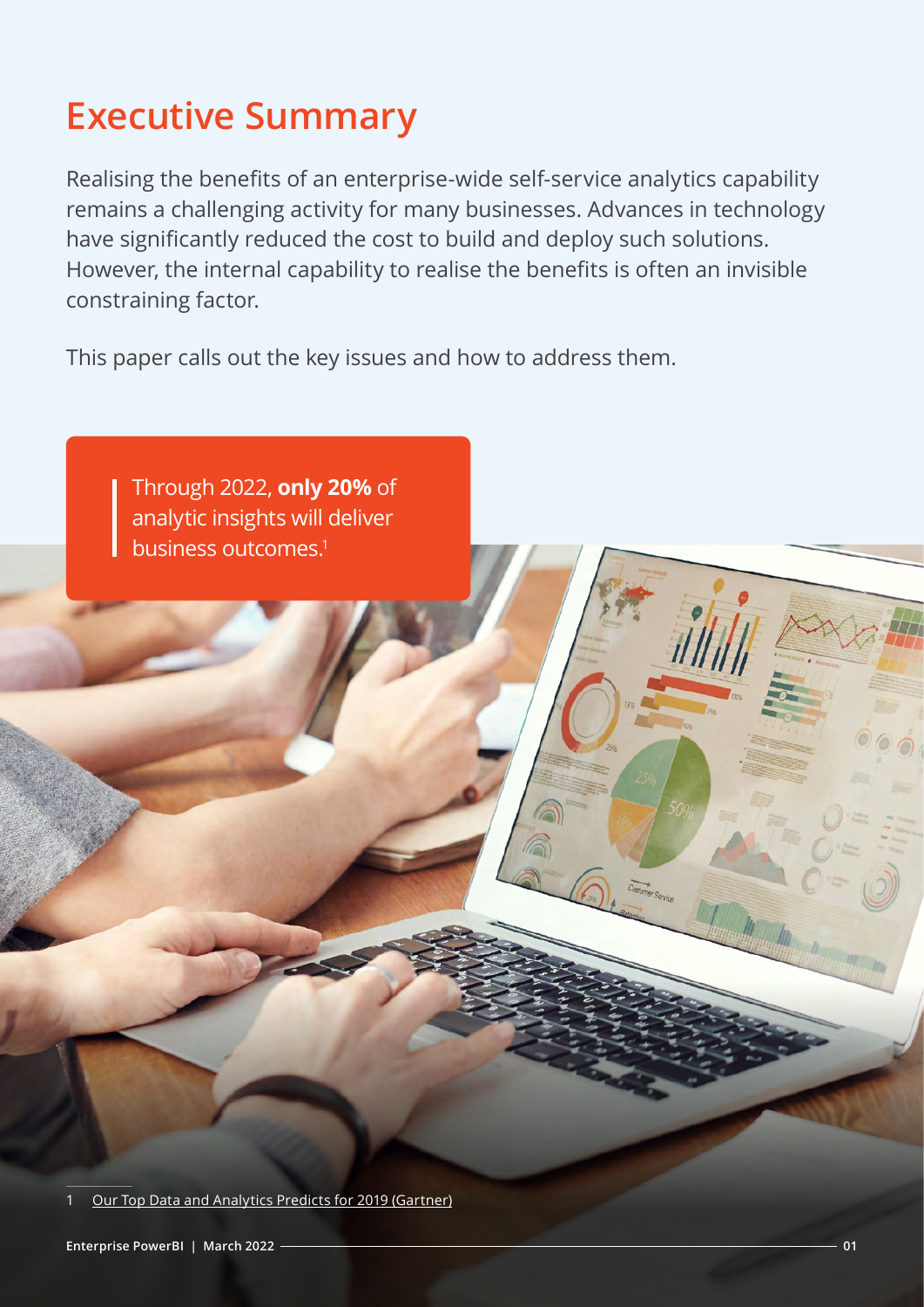### **Executive Summary**

Realising the benefits of an enterprise-wide self-service analytics capability remains a challenging activity for many businesses. Advances in technology have significantly reduced the cost to build and deploy such solutions. However, the internal capability to realise the benefits is often an invisible constraining factor.

This paper calls out the key issues and how to address them.

Through 2022, **only 20%** of analytic insights will deliver business outcomes.<sup>1</sup>

[Our Top Data and Analytics Predicts for 2019 \(Gartner\)](https://blogs.gartner.com/andrew_white/2019/01/03/our-top-data-and-analytics-predicts-for-2019/)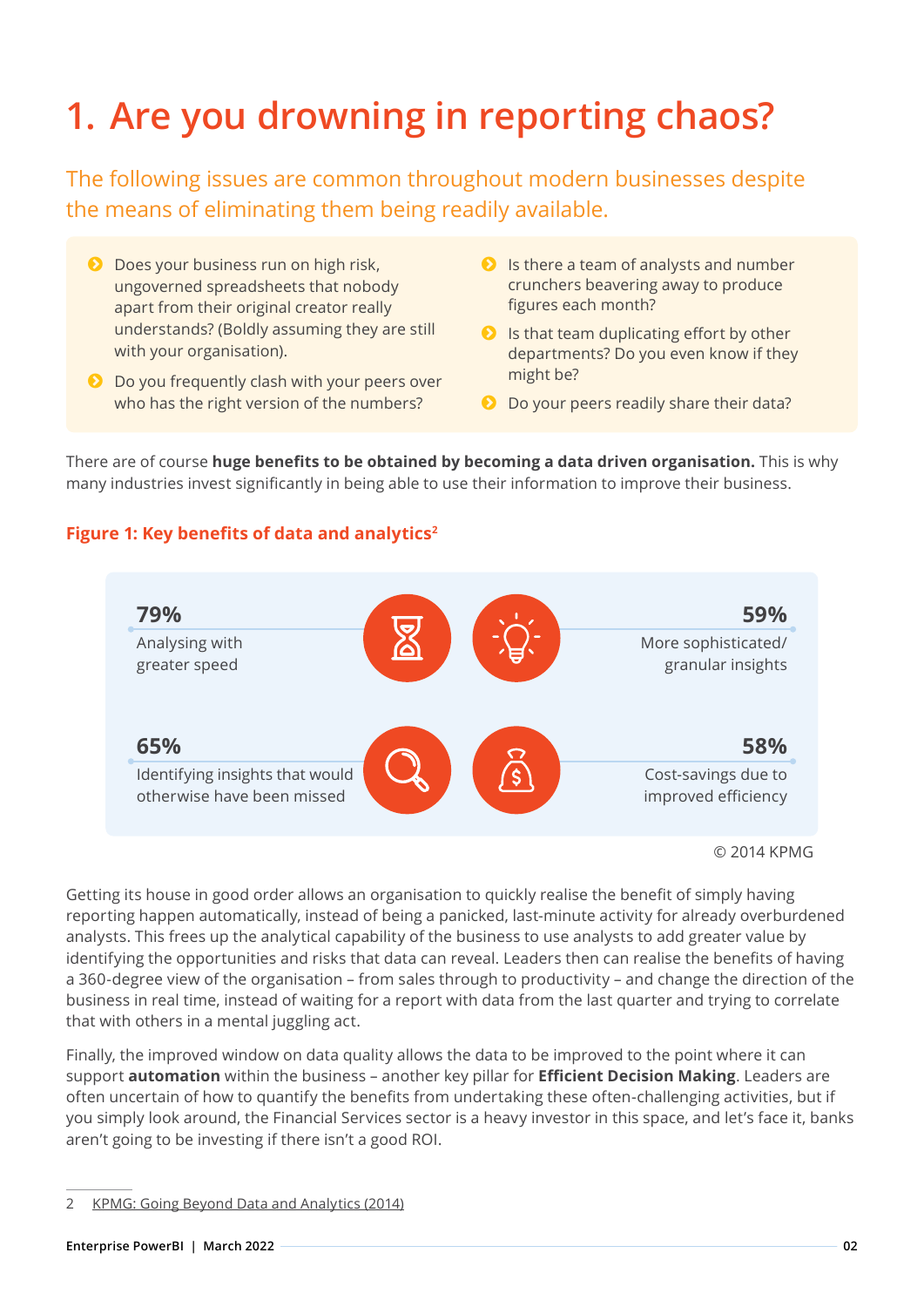## **1. Are you drowning in reporting chaos?**

The following issues are common throughout modern businesses despite the means of eliminating them being readily available.

- **D** Does your business run on high risk, ungoverned spreadsheets that nobody apart from their original creator really understands? (Boldly assuming they are still with your organisation).
- **D** Do you frequently clash with your peers over who has the right version of the numbers?
- $\bullet$  Is there a team of analysts and number crunchers beavering away to produce figures each month?
- $\bullet$  Is that team duplicating effort by other departments? Do you even know if they might be?
- **D** Do your peers readily share their data?

There are of course **huge benefits to be obtained by becoming a data driven organisation.** This is why many industries invest significantly in being able to use their information to improve their business.

#### **Figure 1: Key benefits of data and analytics<sup>2</sup>**



Getting its house in good order allows an organisation to quickly realise the benefit of simply having reporting happen automatically, instead of being a panicked, last-minute activity for already overburdened analysts. This frees up the analytical capability of the business to use analysts to add greater value by identifying the opportunities and risks that data can reveal. Leaders then can realise the benefits of having a 360-degree view of the organisation – from sales through to productivity – and change the direction of the business in real time, instead of waiting for a report with data from the last quarter and trying to correlate that with others in a mental juggling act.

Finally, the improved window on data quality allows the data to be improved to the point where it can support **automation** within the business – another key pillar for **Efficient Decision Making**. Leaders are often uncertain of how to quantify the benefits from undertaking these often-challenging activities, but if you simply look around, the Financial Services sector is a heavy investor in this space, and let's face it, banks aren't going to be investing if there isn't a good ROI.

<sup>2</sup> [KPMG: Going Beyond Data and Analytics \(2014\)](https://assets.kpmg/content/dam/kpmg/pdf/2015/04/going-beyond-data-and-analytics-v4.pdf)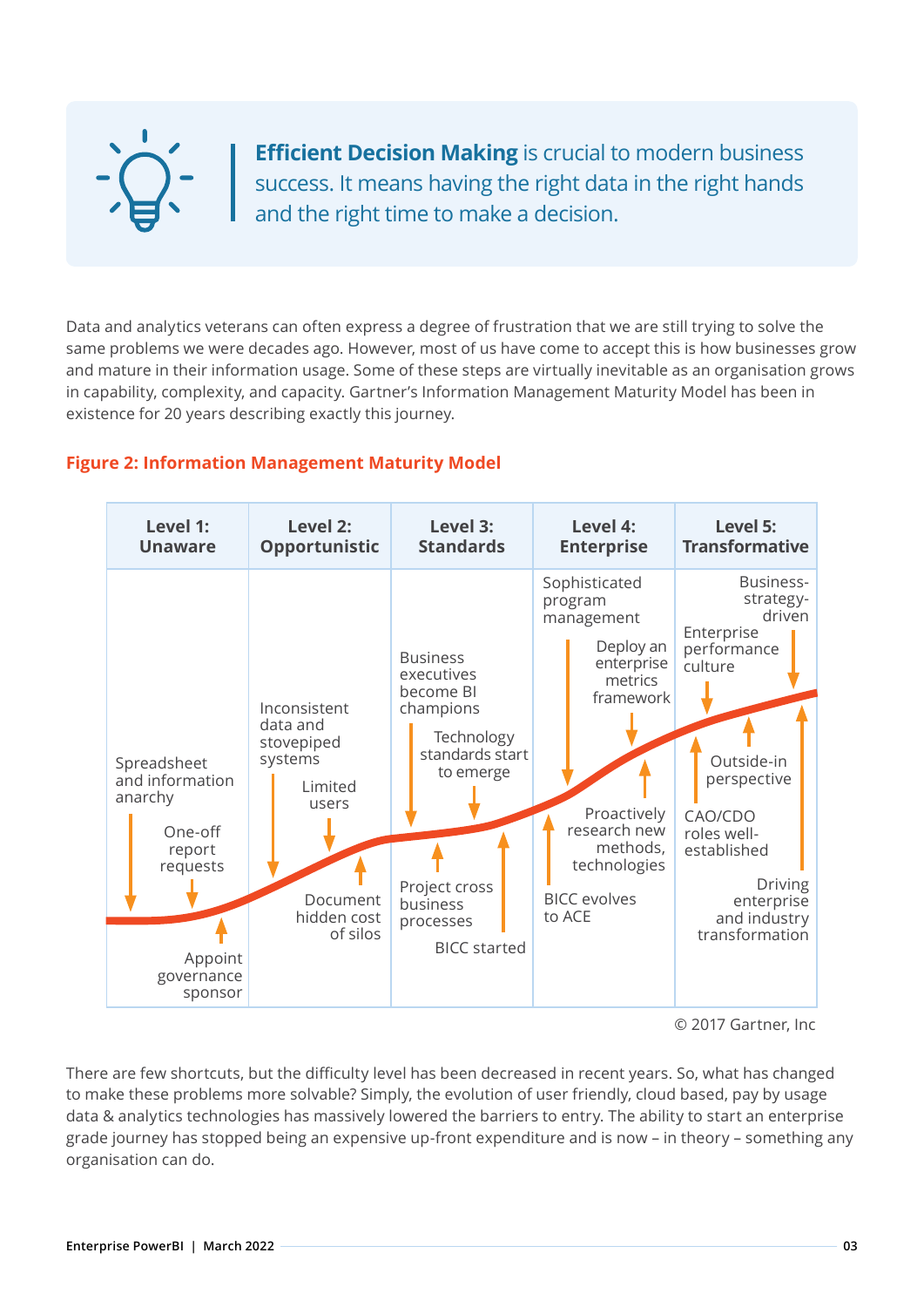**Efficient Decision Making** is crucial to modern business success. It means having the right data in the right hands and the right time to make a decision.

Data and analytics veterans can often express a degree of frustration that we are still trying to solve the same problems we were decades ago. However, most of us have come to accept this is how businesses grow and mature in their information usage. Some of these steps are virtually inevitable as an organisation grows in capability, complexity, and capacity. Gartner's Information Management Maturity Model has been in existence for 20 years describing exactly this journey.

#### **Figure 2: Information Management Maturity Model**

| Level 1:                                                                                                       | Level 2:                                                                                                     | Level 3:                                                                                                                                                               | Level 4:                                                                                                                                                                              | Level 5:                                                                                                                                                                                                         |
|----------------------------------------------------------------------------------------------------------------|--------------------------------------------------------------------------------------------------------------|------------------------------------------------------------------------------------------------------------------------------------------------------------------------|---------------------------------------------------------------------------------------------------------------------------------------------------------------------------------------|------------------------------------------------------------------------------------------------------------------------------------------------------------------------------------------------------------------|
| <b>Unaware</b>                                                                                                 | <b>Opportunistic</b>                                                                                         | <b>Standards</b>                                                                                                                                                       | <b>Enterprise</b>                                                                                                                                                                     | <b>Transformative</b>                                                                                                                                                                                            |
| Spreadsheet<br>and information<br>anarchy<br>One-off<br>report<br>requests<br>Appoint<br>governance<br>sponsor | Inconsistent<br>data and<br>stovepiped<br>systems<br>Limited<br>users<br>Document<br>hidden cost<br>of silos | <b>Business</b><br>executives<br>become BI<br>champions<br>Technology<br>standards start<br>to emerge<br>Project cross<br>business<br>processes<br><b>BICC</b> started | Sophisticated<br>program<br>management<br>Deploy an<br>enterprise<br>metrics<br>framework<br>Proactively<br>research new<br>methods,<br>technologies<br><b>BICC</b> evolves<br>to ACE | Business-<br>strategy-<br>driven<br>Enterprise<br>performance<br>culture<br>Outside-in<br>perspective<br>CAO/CDO<br>roles well-<br>established<br><b>Driving</b><br>enterprise<br>and industry<br>transformation |

© 2017 Gartner, Inc

There are few shortcuts, but the difficulty level has been decreased in recent years. So, what has changed to make these problems more solvable? Simply, the evolution of user friendly, cloud based, pay by usage data & analytics technologies has massively lowered the barriers to entry. The ability to start an enterprise grade journey has stopped being an expensive up-front expenditure and is now – in theory – something any organisation can do.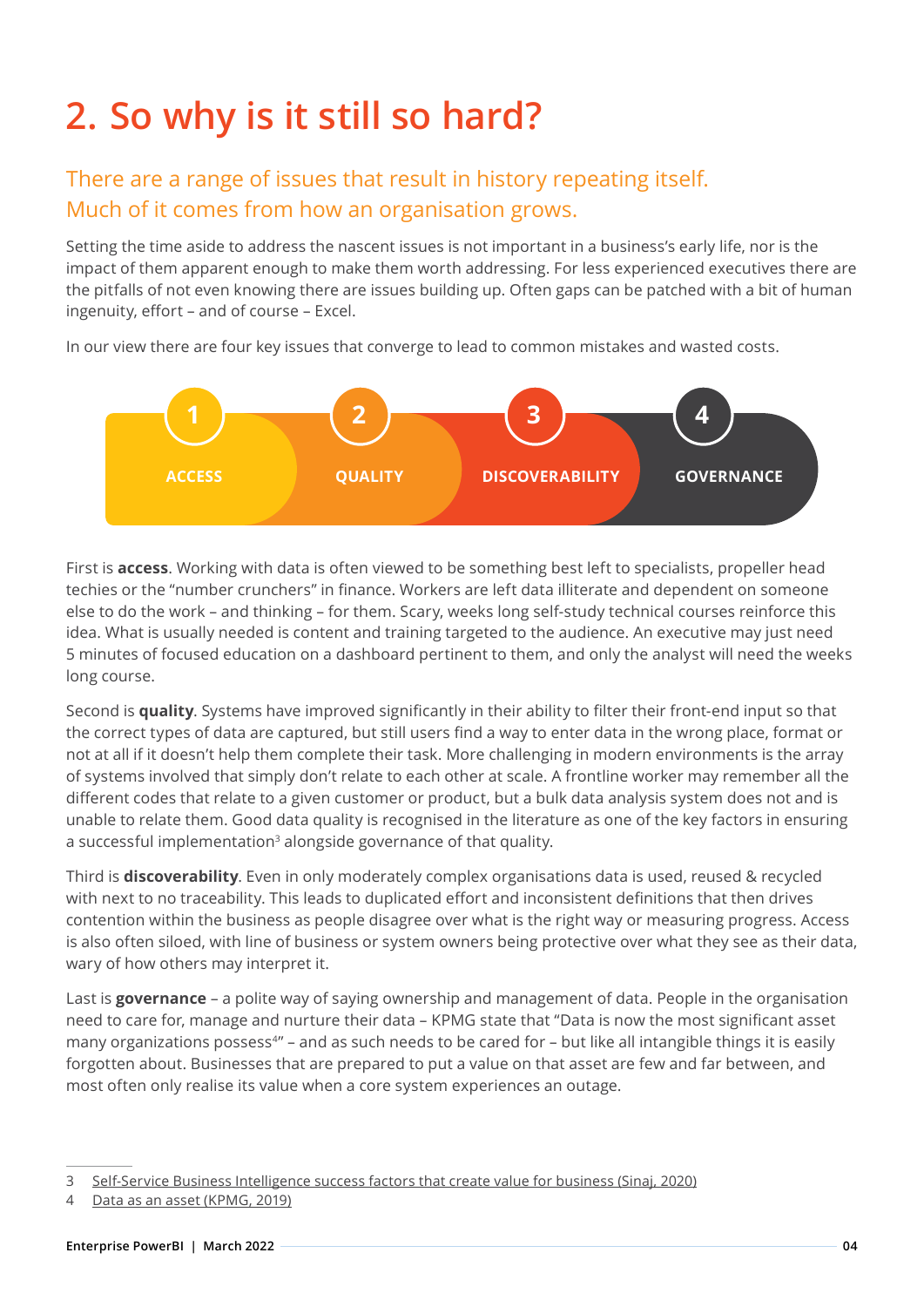### **2. So why is it still so hard?**

#### There are a range of issues that result in history repeating itself. Much of it comes from how an organisation grows.

Setting the time aside to address the nascent issues is not important in a business's early life, nor is the impact of them apparent enough to make them worth addressing. For less experienced executives there are the pitfalls of not even knowing there are issues building up. Often gaps can be patched with a bit of human ingenuity, effort – and of course – Excel.

In our view there are four key issues that converge to lead to common mistakes and wasted costs.



First is **access**. Working with data is often viewed to be something best left to specialists, propeller head techies or the "number crunchers" in finance. Workers are left data illiterate and dependent on someone else to do the work – and thinking – for them. Scary, weeks long self-study technical courses reinforce this idea. What is usually needed is content and training targeted to the audience. An executive may just need 5 minutes of focused education on a dashboard pertinent to them, and only the analyst will need the weeks long course.

Second is **quality**. Systems have improved significantly in their ability to filter their front-end input so that the correct types of data are captured, but still users find a way to enter data in the wrong place, format or not at all if it doesn't help them complete their task. More challenging in modern environments is the array of systems involved that simply don't relate to each other at scale. A frontline worker may remember all the different codes that relate to a given customer or product, but a bulk data analysis system does not and is unable to relate them. Good data quality is recognised in the literature as one of the key factors in ensuring a successful implementation<sup>3</sup> alongside governance of that quality.

Third is **discoverability**. Even in only moderately complex organisations data is used, reused & recycled with next to no traceability. This leads to duplicated effort and inconsistent definitions that then drives contention within the business as people disagree over what is the right way or measuring progress. Access is also often siloed, with line of business or system owners being protective over what they see as their data, wary of how others may interpret it.

Last is **governance** – a polite way of saying ownership and management of data. People in the organisation need to care for, manage and nurture their data – KPMG state that "Data is now the most significant asset many organizations possess<sup>4"</sup> – and as such needs to be cared for – but like all intangible things it is easily forgotten about. Businesses that are prepared to put a value on that asset are few and far between, and most often only realise its value when a core system experiences an outage.

<sup>3</sup> [Self-Service Business Intelligence success factors that create value for business \(Sinaj, 2020\)](https://open.lnu.se/index.php/lscit/article/view/2800)

<sup>4</sup> [Data as an asset \(KPMG, 2019\)](https://assets.kpmg/content/dam/kpmg/xx/pdf/2019/10/data-as-an-asset.pdf)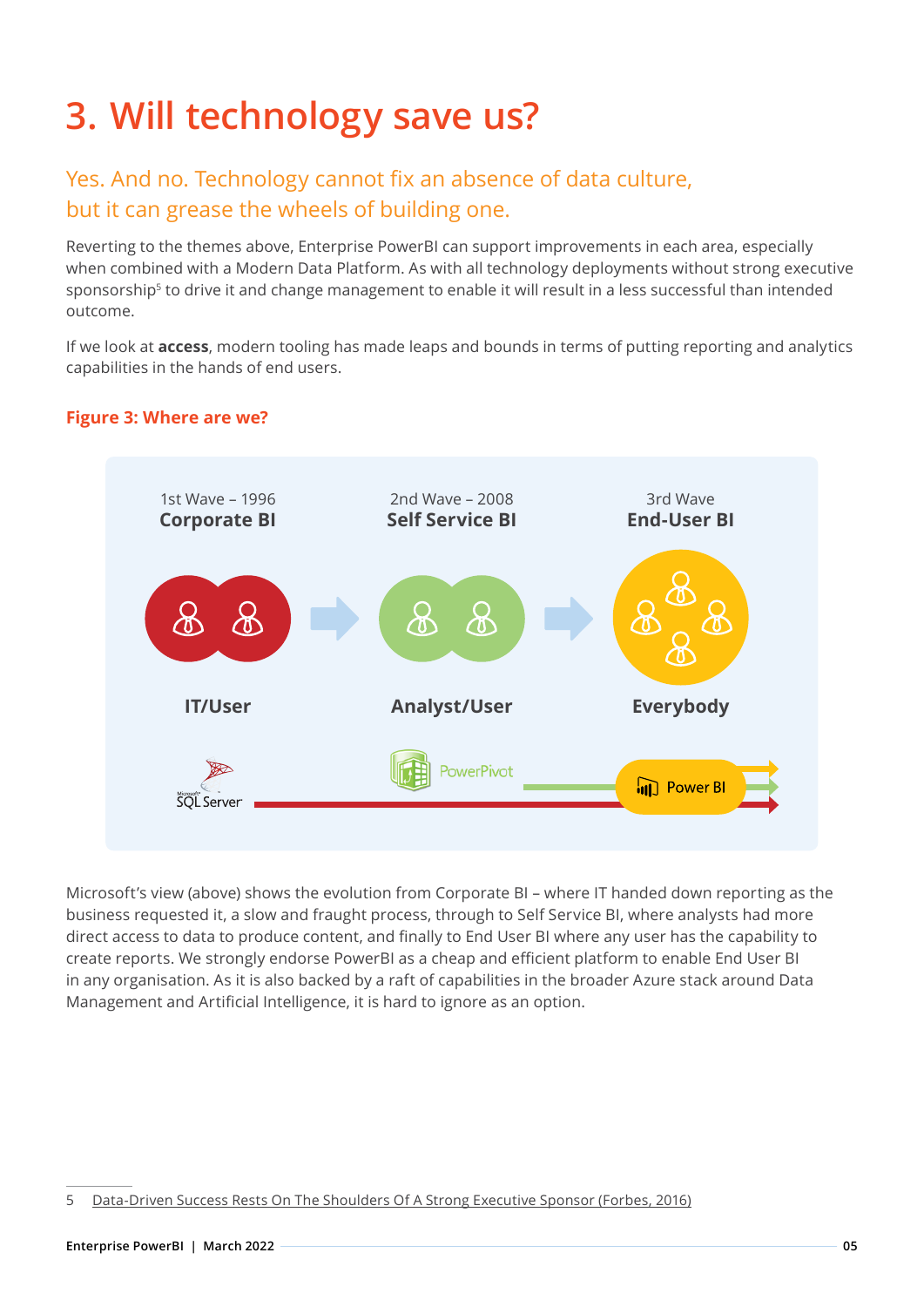### **3. Will technology save us?**

#### Yes. And no. Technology cannot fix an absence of data culture, but it can grease the wheels of building one.

Reverting to the themes above, Enterprise PowerBI can support improvements in each area, especially when combined with a Modern Data Platform. As with all technology deployments without strong executive sponsorship<sup>5</sup> to drive it and change management to enable it will result in a less successful than intended outcome.

If we look at **access**, modern tooling has made leaps and bounds in terms of putting reporting and analytics capabilities in the hands of end users.



#### **Figure 3: Where are we?**

Microsoft's view (above) shows the evolution from Corporate BI – where IT handed down reporting as the business requested it, a slow and fraught process, through to Self Service BI, where analysts had more direct access to data to produce content, and finally to End User BI where any user has the capability to create reports. We strongly endorse PowerBI as a cheap and efficient platform to enable End User BI in any organisation. As it is also backed by a raft of capabilities in the broader Azure stack around Data Management and Artificial Intelligence, it is hard to ignore as an option.

<sup>5</sup> [Data-Driven Success Rests On The Shoulders Of A Strong Executive Sponsor \(Forbes, 2016\)](https://www.forbes.com/sites/brentdykes/2016/08/24/data-driven-success-rests-on-the-shoulders-of-a-strong-executive-sponsor/?sh=b9bdf2322330)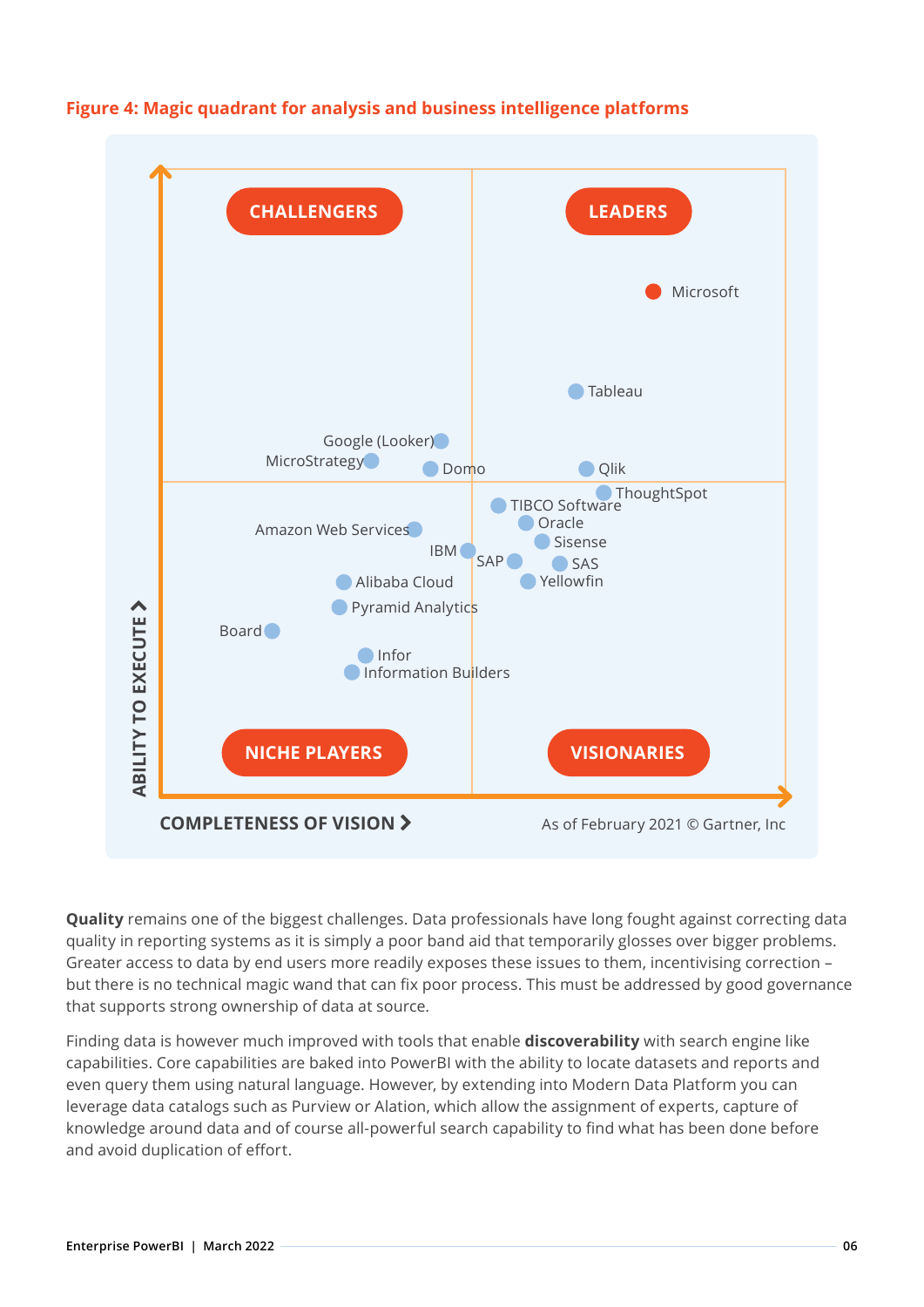

#### **Figure 4: Magic quadrant for analysis and business intelligence platforms**

**Quality** remains one of the biggest challenges. Data professionals have long fought against correcting data quality in reporting systems as it is simply a poor band aid that temporarily glosses over bigger problems. Greater access to data by end users more readily exposes these issues to them, incentivising correction – but there is no technical magic wand that can fix poor process. This must be addressed by good governance that supports strong ownership of data at source.

Finding data is however much improved with tools that enable **discoverability** with search engine like capabilities. Core capabilities are baked into PowerBI with the ability to locate datasets and reports and even query them using natural language. However, by extending into Modern Data Platform you can leverage data catalogs such as Purview or Alation, which allow the assignment of experts, capture of knowledge around data and of course all-powerful search capability to find what has been done before and avoid duplication of effort.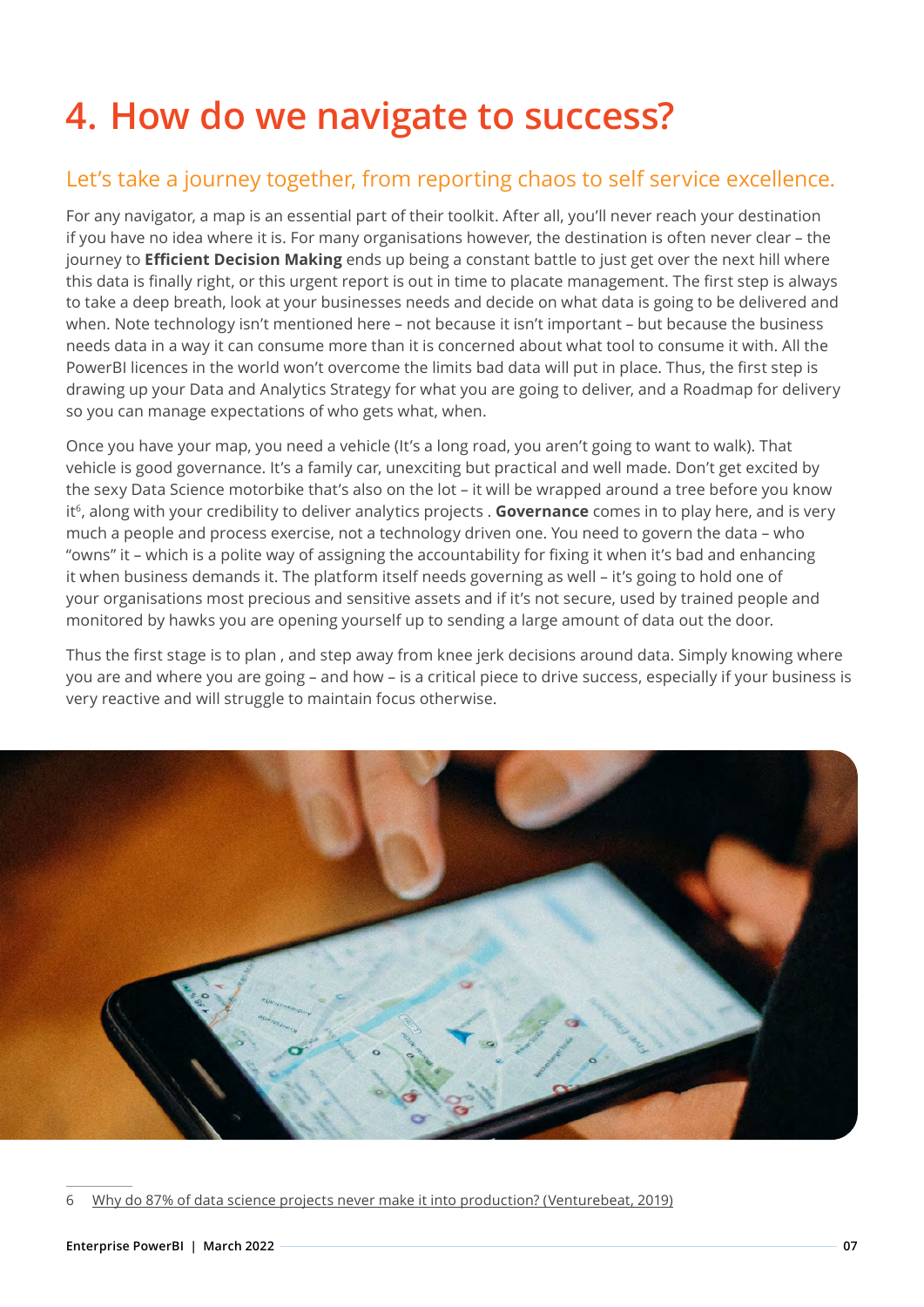### **4. How do we navigate to success?**

#### Let's take a journey together, from reporting chaos to self service excellence.

For any navigator, a map is an essential part of their toolkit. After all, you'll never reach your destination if you have no idea where it is. For many organisations however, the destination is often never clear – the journey to **Efficient Decision Making** ends up being a constant battle to just get over the next hill where this data is finally right, or this urgent report is out in time to placate management. The first step is always to take a deep breath, look at your businesses needs and decide on what data is going to be delivered and when. Note technology isn't mentioned here – not because it isn't important – but because the business needs data in a way it can consume more than it is concerned about what tool to consume it with. All the PowerBI licences in the world won't overcome the limits bad data will put in place. Thus, the first step is drawing up your Data and Analytics Strategy for what you are going to deliver, and a Roadmap for delivery so you can manage expectations of who gets what, when.

Once you have your map, you need a vehicle (It's a long road, you aren't going to want to walk). That vehicle is good governance. It's a family car, unexciting but practical and well made. Don't get excited by the sexy Data Science motorbike that's also on the lot – it will be wrapped around a tree before you know it<sup>6</sup>, along with your credibility to deliver analytics projects . **Governance** comes in to play here, and is very much a people and process exercise, not a technology driven one. You need to govern the data – who "owns" it – which is a polite way of assigning the accountability for fixing it when it's bad and enhancing it when business demands it. The platform itself needs governing as well – it's going to hold one of your organisations most precious and sensitive assets and if it's not secure, used by trained people and monitored by hawks you are opening yourself up to sending a large amount of data out the door.

Thus the first stage is to plan , and step away from knee jerk decisions around data. Simply knowing where you are and where you are going – and how – is a critical piece to drive success, especially if your business is very reactive and will struggle to maintain focus otherwise.



<sup>6</sup> [Why do 87% of data science projects never make it into production? \(Venturebeat, 2019](https://venturebeat.com/2019/07/19/why-do-87-of-data-science-projects-never-make-it-into-production/))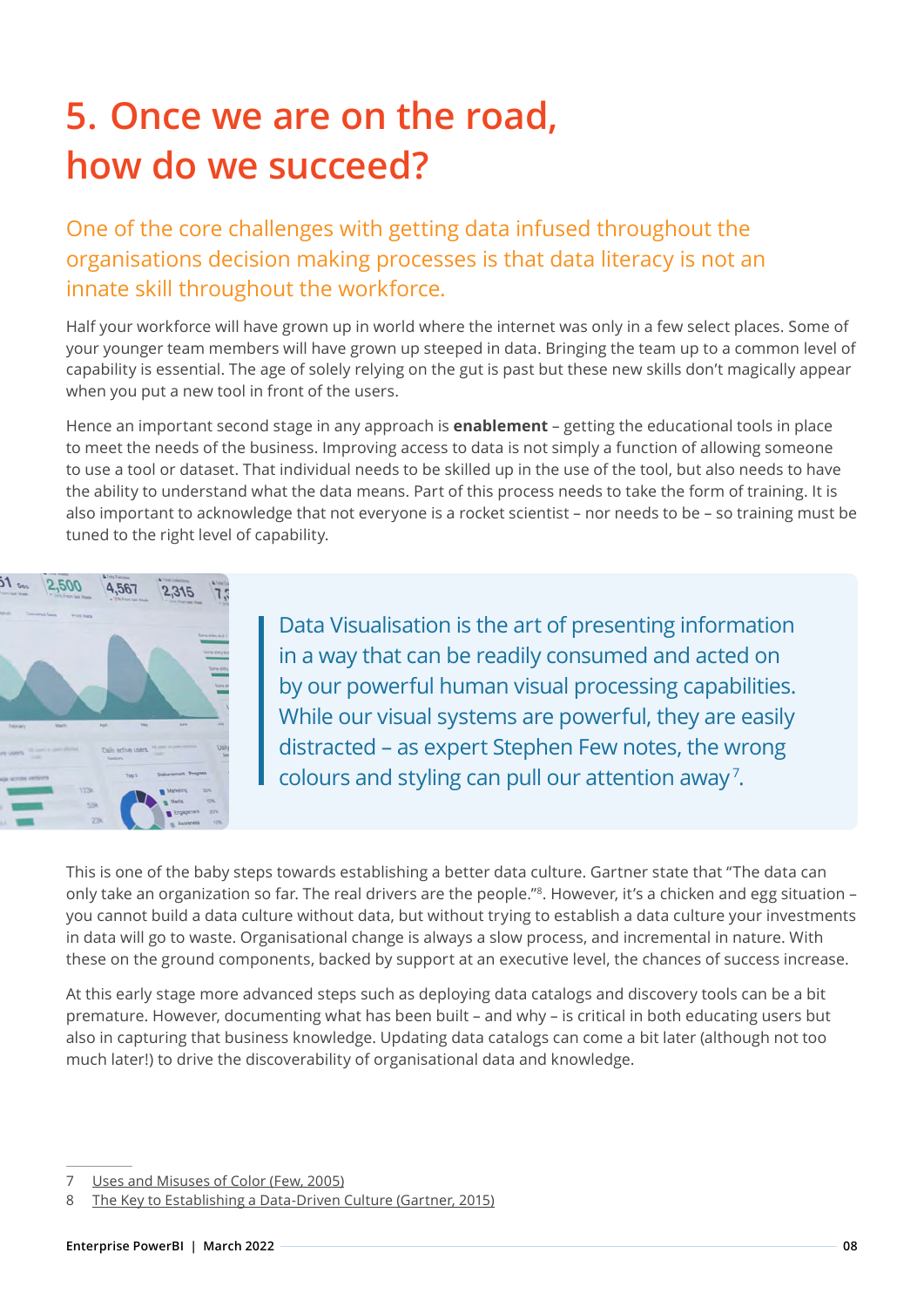### **5. Once we are on the road, how do we succeed?**

One of the core challenges with getting data infused throughout the organisations decision making processes is that data literacy is not an innate skill throughout the workforce.

Half your workforce will have grown up in world where the internet was only in a few select places. Some of your younger team members will have grown up steeped in data. Bringing the team up to a common level of capability is essential. The age of solely relying on the gut is past but these new skills don't magically appear when you put a new tool in front of the users.

Hence an important second stage in any approach is **enablement** – getting the educational tools in place to meet the needs of the business. Improving access to data is not simply a function of allowing someone to use a tool or dataset. That individual needs to be skilled up in the use of the tool, but also needs to have the ability to understand what the data means. Part of this process needs to take the form of training. It is also important to acknowledge that not everyone is a rocket scientist – nor needs to be – so training must be tuned to the right level of capability.



Data Visualisation is the art of presenting information in a way that can be readily consumed and acted on by our powerful human visual processing capabilities. While our visual systems are powerful, they are easily distracted – as expert Stephen Few notes, the wrong colours and styling can pull our attention away<sup>7</sup>.

This is one of the baby steps towards establishing a better data culture. Gartner state that "The data can only take an organization so far. The real drivers are the people."8. However, it's a chicken and egg situation – you cannot build a data culture without data, but without trying to establish a data culture your investments in data will go to waste. Organisational change is always a slow process, and incremental in nature. With these on the ground components, backed by support at an executive level, the chances of success increase.

At this early stage more advanced steps such as deploying data catalogs and discovery tools can be a bit premature. However, documenting what has been built – and why – is critical in both educating users but also in capturing that business knowledge. Updating data catalogs can come a bit later (although not too much later!) to drive the discoverability of organisational data and knowledge.

<sup>7</sup> [Uses and Misuses of Color \(Few, 2005\)](https://perceptualedge.com/articles/dmreview/color.pdf)

<sup>8</sup> [The Key to Establishing a Data-Driven Culture \(Gartner, 2015\)](https://www.gartner.com/smarterwithgartner/the-key-to-establishing-a-data-driven-culture)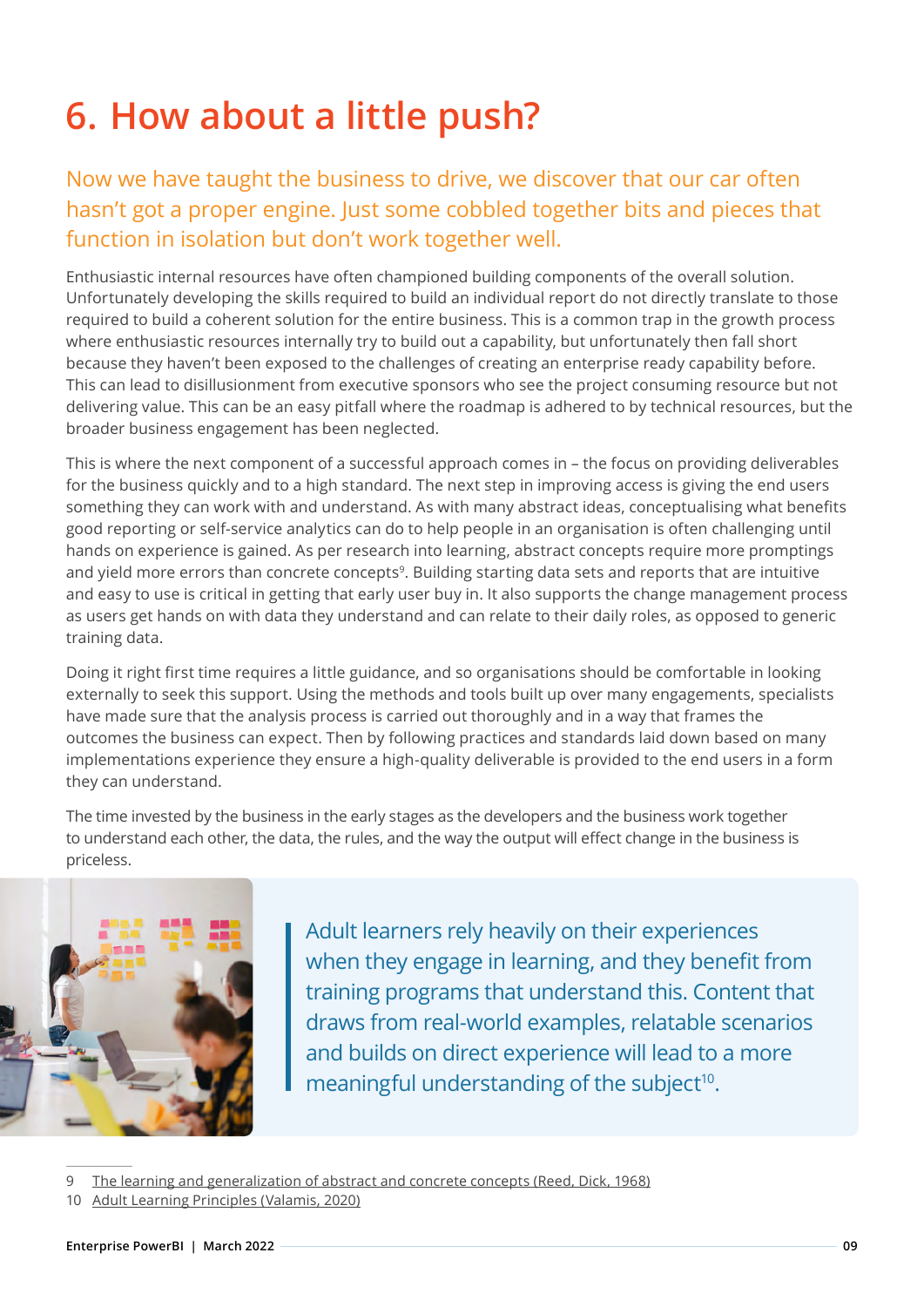### **6. How about a little push?**

### Now we have taught the business to drive, we discover that our car often hasn't got a proper engine. Just some cobbled together bits and pieces that function in isolation but don't work together well.

Enthusiastic internal resources have often championed building components of the overall solution. Unfortunately developing the skills required to build an individual report do not directly translate to those required to build a coherent solution for the entire business. This is a common trap in the growth process where enthusiastic resources internally try to build out a capability, but unfortunately then fall short because they haven't been exposed to the challenges of creating an enterprise ready capability before. This can lead to disillusionment from executive sponsors who see the project consuming resource but not delivering value. This can be an easy pitfall where the roadmap is adhered to by technical resources, but the broader business engagement has been neglected.

This is where the next component of a successful approach comes in – the focus on providing deliverables for the business quickly and to a high standard. The next step in improving access is giving the end users something they can work with and understand. As with many abstract ideas, conceptualising what benefits good reporting or self-service analytics can do to help people in an organisation is often challenging until hands on experience is gained. As per research into learning, abstract concepts require more promptings and yield more errors than concrete concepts<sup>9</sup>. Building starting data sets and reports that are intuitive and easy to use is critical in getting that early user buy in. It also supports the change management process as users get hands on with data they understand and can relate to their daily roles, as opposed to generic training data.

Doing it right first time requires a little guidance, and so organisations should be comfortable in looking externally to seek this support. Using the methods and tools built up over many engagements, specialists have made sure that the analysis process is carried out thoroughly and in a way that frames the outcomes the business can expect. Then by following practices and standards laid down based on many implementations experience they ensure a high-quality deliverable is provided to the end users in a form they can understand.

The time invested by the business in the early stages as the developers and the business work together to understand each other, the data, the rules, and the way the output will effect change in the business is priceless.



Adult learners rely heavily on their experiences when they engage in learning, and they benefit from training programs that understand this. Content that draws from real-world examples, relatable scenarios and builds on direct experience will lead to a more meaningful understanding of the subject<sup>10</sup>.

<sup>9</sup> [The learning and generalization of abstract and concrete concepts \(Reed, Dick, 1968\)](https://www.sciencedirect.com/science/article/abs/pii/S0022537168800374?via%3Dihub)

<sup>10</sup> [Adult Learning Principles \(Valamis, 2020\)](https://www.valamis.com/hub/adult-learning-principles)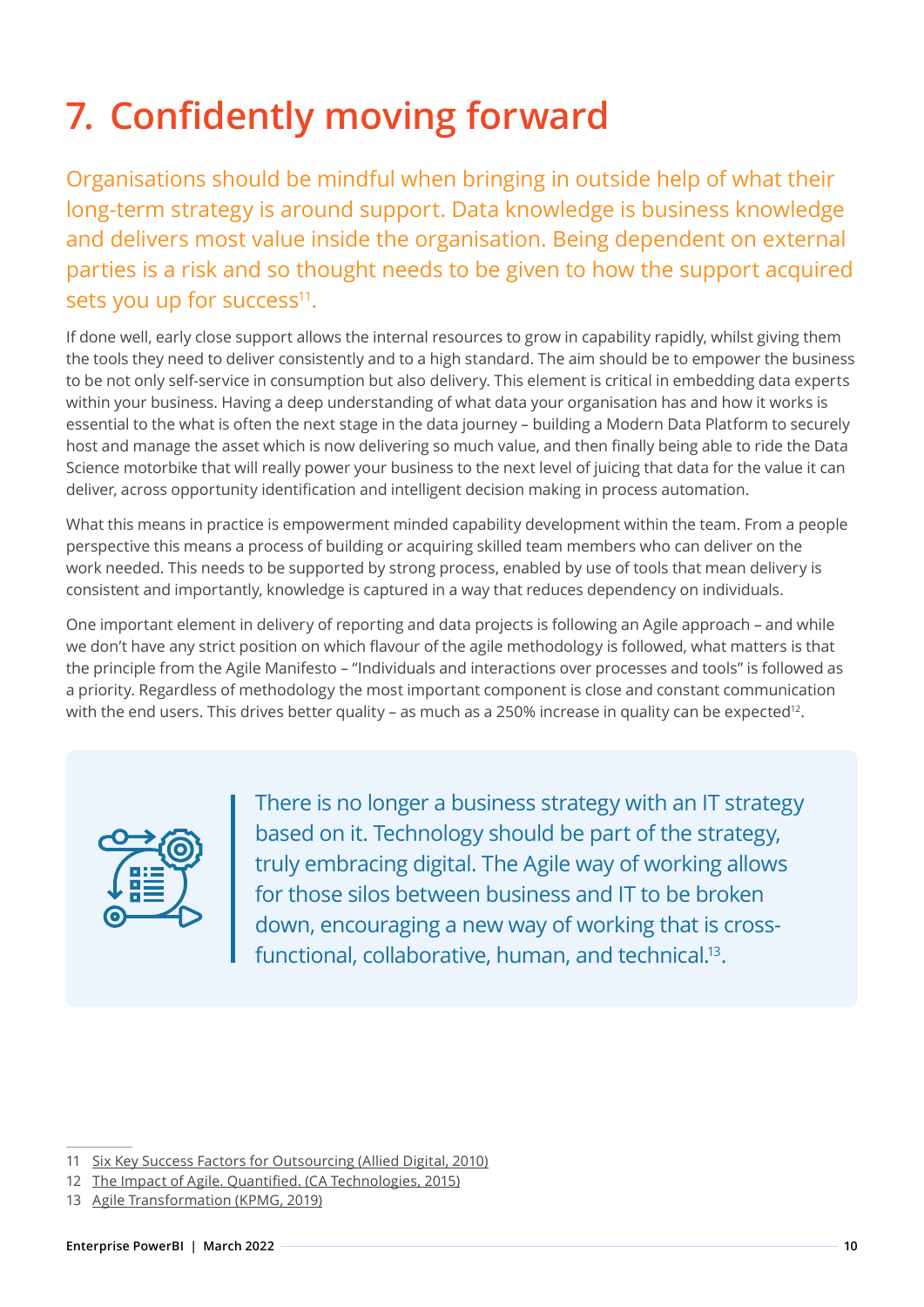## **7. Confidently moving forward**

Organisations should be mindful when bringing in outside help of what their long-term strategy is around support. Data knowledge is business knowledge and delivers most value inside the organisation. Being dependent on external parties is a risk and so thought needs to be given to how the support acquired sets you up for success<sup>11</sup>.

If done well, early close support allows the internal resources to grow in capability rapidly, whilst giving them the tools they need to deliver consistently and to a high standard. The aim should be to empower the business to be not only self-service in consumption but also delivery. This element is critical in embedding data experts within your business. Having a deep understanding of what data your organisation has and how it works is essential to the what is often the next stage in the data journey – building a Modern Data Platform to securely host and manage the asset which is now delivering so much value, and then finally being able to ride the Data Science motorbike that will really power your business to the next level of juicing that data for the value it can deliver, across opportunity identification and intelligent decision making in process automation.

What this means in practice is empowerment minded capability development within the team. From a people perspective this means a process of building or acquiring skilled team members who can deliver on the work needed. This needs to be supported by strong process, enabled by use of tools that mean delivery is consistent and importantly, knowledge is captured in a way that reduces dependency on individuals.

One important element in delivery of reporting and data projects is following an Agile approach – and while we don't have any strict position on which flavour of the agile methodology is followed, what matters is that the principle from the [Agile Manifesto –](https://agilemanifesto.org/) "Individuals and interactions over processes and tools" is followed as a priority. Regardless of methodology the most important component is close and constant communication with the end users. This drives better quality – as much as a 250% increase in quality can be expected<sup>12</sup>.

| حربي<br>æ |  |
|-----------|--|
|           |  |
|           |  |
|           |  |

There is no longer a business strategy with an IT strategy based on it. Technology should be part of the strategy, truly embracing digital. The Agile way of working allows for those silos between business and IT to be broken down, encouraging a new way of working that is crossfunctional, collaborative, human, and technical.<sup>13</sup>.

<sup>11</sup> [Six Key Success Factors for Outsourcing \(Allied Digital, 2010\)](https://www.itonews.eu/files/f1289395538.pdf)

<sup>12</sup> [The Impact of Agile. Quantified. \(CA Technologies, 2015\)](https://www.projectmanagement.com/pdf/469163_the-impact-of-agile-quantified.pdf)

<sup>13</sup> [Agile Transformation \(KPMG, 2019\)](https://assets.kpmg/content/dam/kpmg/be/pdf/2019/11/agile-transformation.pdf)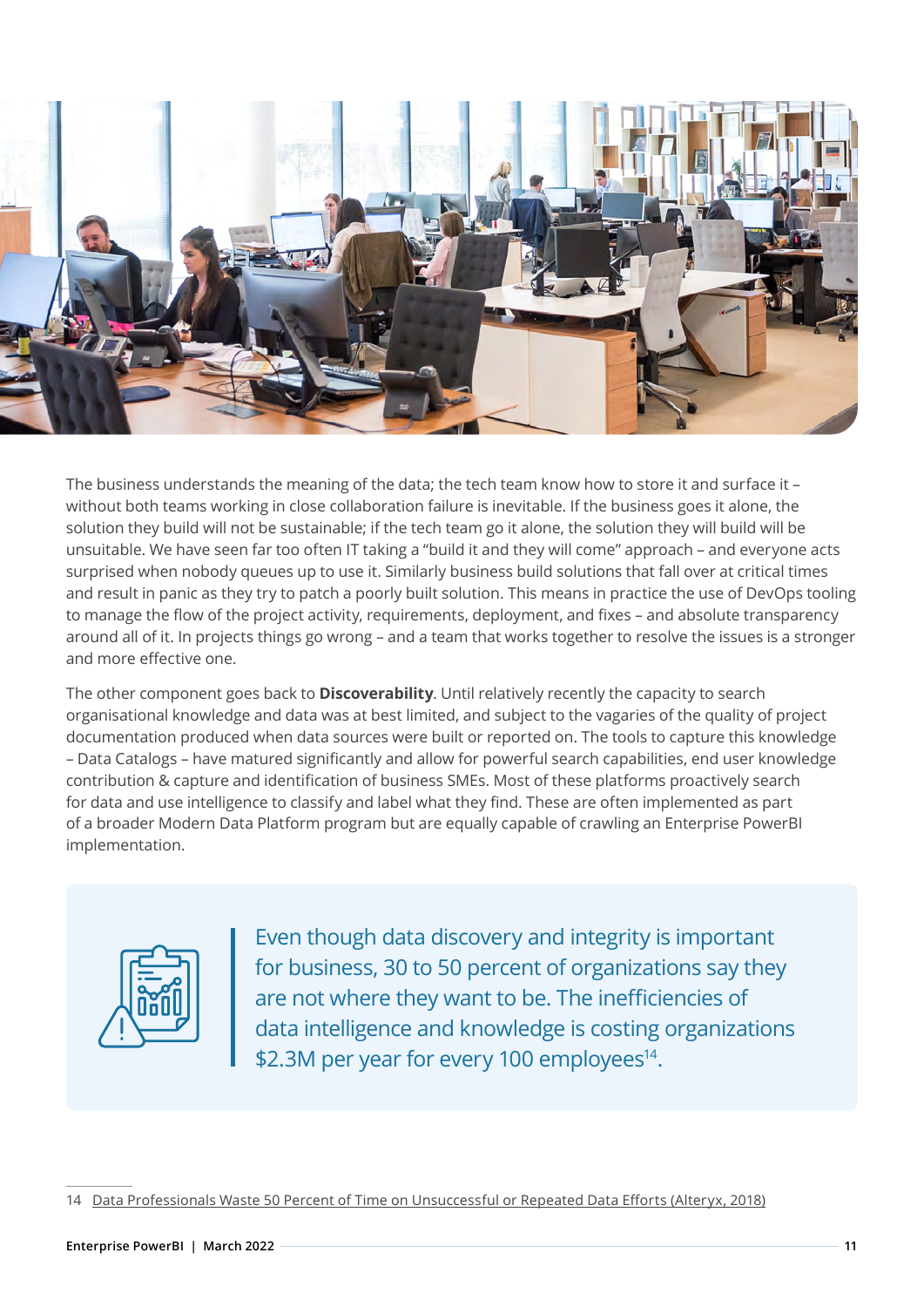

The business understands the meaning of the data; the tech team know how to store it and surface it – without both teams working in close collaboration failure is inevitable. If the business goes it alone, the solution they build will not be sustainable; if the tech team go it alone, the solution they will build will be unsuitable. We have seen far too often IT taking a "build it and they will come" approach – and everyone acts surprised when nobody queues up to use it. Similarly business build solutions that fall over at critical times and result in panic as they try to patch a poorly built solution. This means in practice the use of DevOps tooling to manage the flow of the project activity, requirements, deployment, and fixes – and absolute transparency around all of it. In projects things go wrong – and a team that works together to resolve the issues is a stronger and more effective one.

The other component goes back to **Discoverability**. Until relatively recently the capacity to search organisational knowledge and data was at best limited, and subject to the vagaries of the quality of project documentation produced when data sources were built or reported on. The tools to capture this knowledge – Data Catalogs – have matured significantly and allow for powerful search capabilities, end user knowledge contribution & capture and identification of business SMEs. Most of these platforms proactively search for data and use intelligence to classify and label what they find. These are often implemented as part of a broader Modern Data Platform program but are equally capable of crawling an Enterprise PowerBI implementation.



Even though data discovery and integrity is important for business, 30 to 50 percent of organizations say they are not where they want to be. The inefficiencies of data intelligence and knowledge is costing organizations \$2.3M per year for every 100 employees<sup>14</sup>.

<sup>14</sup> [Data Professionals Waste 50 Percent of Time on Unsuccessful or Repeated Data Efforts \(Alteryx, 2018\)](https://www.businesswire.com/news/home/20180130005134/en/)